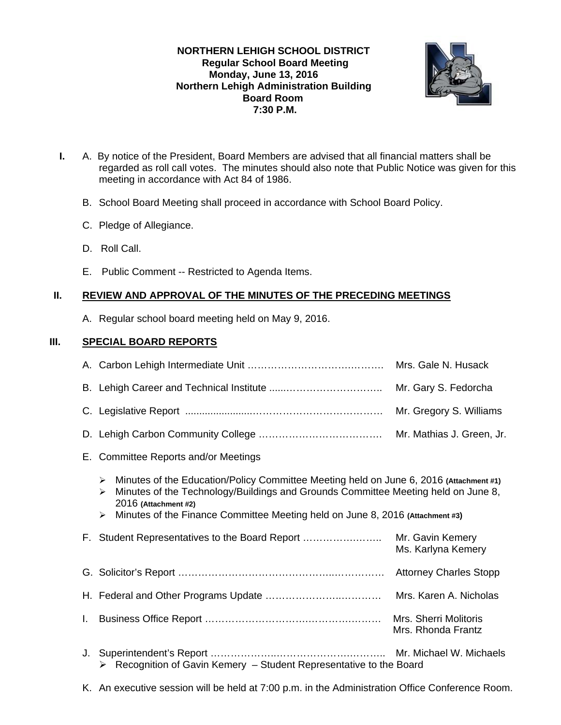## **NORTHERN LEHIGH SCHOOL DISTRICT Regular School Board Meeting Monday, June 13, 2016 Northern Lehigh Administration Building Board Room 7:30 P.M.**



- **I.** A. By notice of the President, Board Members are advised that all financial matters shall be regarded as roll call votes. The minutes should also note that Public Notice was given for this meeting in accordance with Act 84 of 1986.
	- B. School Board Meeting shall proceed in accordance with School Board Policy.
	- C. Pledge of Allegiance.
	- D. Roll Call.
	- E. Public Comment -- Restricted to Agenda Items.

# **II. REVIEW AND APPROVAL OF THE MINUTES OF THE PRECEDING MEETINGS**

A. Regular school board meeting held on May 9, 2016.

# **III. SPECIAL BOARD REPORTS**

- E. Committee Reports and/or Meetings
	- Minutes of the Education/Policy Committee Meeting held on June 6, 2016 **(Attachment #1)**
	- Minutes of the Technology/Buildings and Grounds Committee Meeting held on June 8, 2016 **(Attachment #2)**
	- Minutes of the Finance Committee Meeting held on June 8, 2016 **(Attachment #3)**

| F. Student Representatives to the Board Report                                     | Mr. Gavin Kemery<br>Ms. Karlyna Kemery |
|------------------------------------------------------------------------------------|----------------------------------------|
|                                                                                    |                                        |
|                                                                                    |                                        |
|                                                                                    | Mrs. Rhonda Frantz                     |
| $\triangleright$ Recognition of Gavin Kemery - Student Representative to the Board |                                        |

K. An executive session will be held at 7:00 p.m. in the Administration Office Conference Room.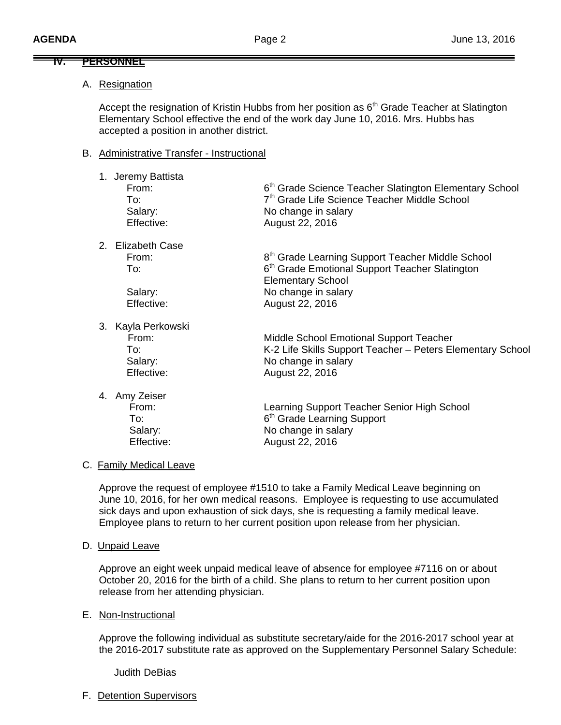#### **IV. PERSONNEL**

### A. Resignation

Accept the resignation of Kristin Hubbs from her position as  $6<sup>th</sup>$  Grade Teacher at Slatington Elementary School effective the end of the work day June 10, 2016. Mrs. Hubbs has accepted a position in another district.

#### B. Administrative Transfer - Instructional

| 1. Jeremy Battista<br>From:<br>To:<br>Salary:<br>Effective: | 6 <sup>th</sup> Grade Science Teacher Slatington Elementary School<br>7 <sup>th</sup> Grade Life Science Teacher Middle School<br>No change in salary<br>August 22, 2016 |
|-------------------------------------------------------------|--------------------------------------------------------------------------------------------------------------------------------------------------------------------------|
| 2. Elizabeth Case<br>From:<br>To:                           | 8 <sup>th</sup> Grade Learning Support Teacher Middle School<br>6 <sup>th</sup> Grade Emotional Support Teacher Slatington                                               |
| Salary:<br>Effective:                                       | <b>Elementary School</b><br>No change in salary<br>August 22, 2016                                                                                                       |
| 3. Kayla Perkowski<br>From:<br>To:<br>Salary:<br>Effective: | Middle School Emotional Support Teacher<br>K-2 Life Skills Support Teacher - Peters Elementary School<br>No change in salary<br>August 22, 2016                          |
| 4. Amy Zeiser<br>From:<br>To:<br>Salary:                    | Learning Support Teacher Senior High School<br>6 <sup>th</sup> Grade Learning Support<br>No change in salary                                                             |

#### C. Family Medical Leave

 Approve the request of employee #1510 to take a Family Medical Leave beginning on June 10, 2016, for her own medical reasons. Employee is requesting to use accumulated sick days and upon exhaustion of sick days, she is requesting a family medical leave. Employee plans to return to her current position upon release from her physician.

Effective: August 22, 2016

D. Unpaid Leave

Approve an eight week unpaid medical leave of absence for employee #7116 on or about October 20, 2016 for the birth of a child. She plans to return to her current position upon release from her attending physician.

E. Non-Instructional

Approve the following individual as substitute secretary/aide for the 2016-2017 school year at the 2016-2017 substitute rate as approved on the Supplementary Personnel Salary Schedule:

Judith DeBias

F. Detention Supervisors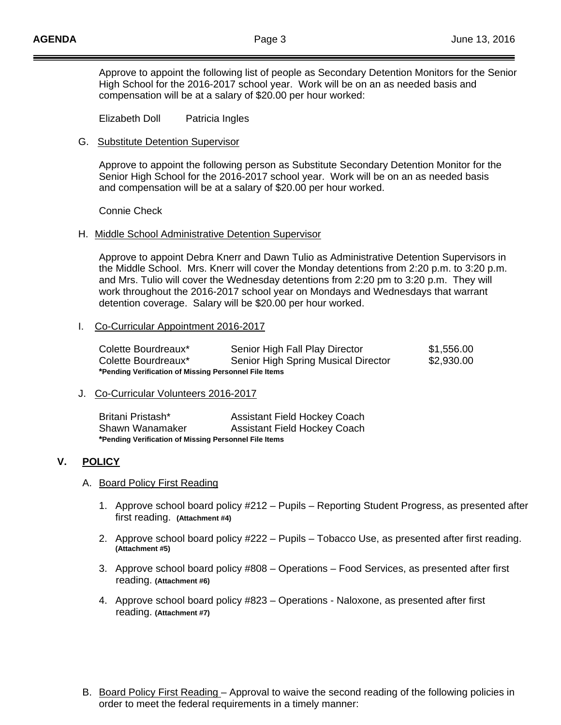Approve to appoint the following list of people as Secondary Detention Monitors for the Senior High School for the 2016-2017 school year. Work will be on an as needed basis and compensation will be at a salary of \$20.00 per hour worked:

Elizabeth Doll Patricia Ingles

### G. Substitute Detention Supervisor

 Approve to appoint the following person as Substitute Secondary Detention Monitor for the Senior High School for the 2016-2017 school year. Work will be on an as needed basis and compensation will be at a salary of \$20.00 per hour worked.

Connie Check

### H. Middle School Administrative Detention Supervisor

 Approve to appoint Debra Knerr and Dawn Tulio as Administrative Detention Supervisors in the Middle School. Mrs. Knerr will cover the Monday detentions from 2:20 p.m. to 3:20 p.m. and Mrs. Tulio will cover the Wednesday detentions from 2:20 pm to 3:20 p.m. They will work throughout the 2016-2017 school year on Mondays and Wednesdays that warrant detention coverage. Salary will be \$20.00 per hour worked.

### I. Co-Curricular Appointment 2016-2017

| Colette Bourdreaux*                                   | Senior High Fall Play Director      | \$1,556.00 |
|-------------------------------------------------------|-------------------------------------|------------|
| Colette Bourdreaux*                                   | Senior High Spring Musical Director | \$2,930.00 |
| *Pending Verification of Missing Personnel File Items |                                     |            |

### J. Co-Curricular Volunteers 2016-2017

Britani Pristash\* Assistant Field Hockey Coach Shawn Wanamaker Assistant Field Hockey Coach **\*Pending Verification of Missing Personnel File Items** 

## **V. POLICY**

### A. Board Policy First Reading

- 1. Approve school board policy #212 Pupils Reporting Student Progress, as presented after first reading. **(Attachment #4)**
- 2. Approve school board policy #222 Pupils Tobacco Use, as presented after first reading. **(Attachment #5)**
- 3. Approve school board policy #808 Operations Food Services, as presented after first reading. **(Attachment #6)**
- 4. Approve school board policy #823 Operations Naloxone, as presented after first reading. **(Attachment #7)**
- B. Board Policy First Reading Approval to waive the second reading of the following policies in order to meet the federal requirements in a timely manner: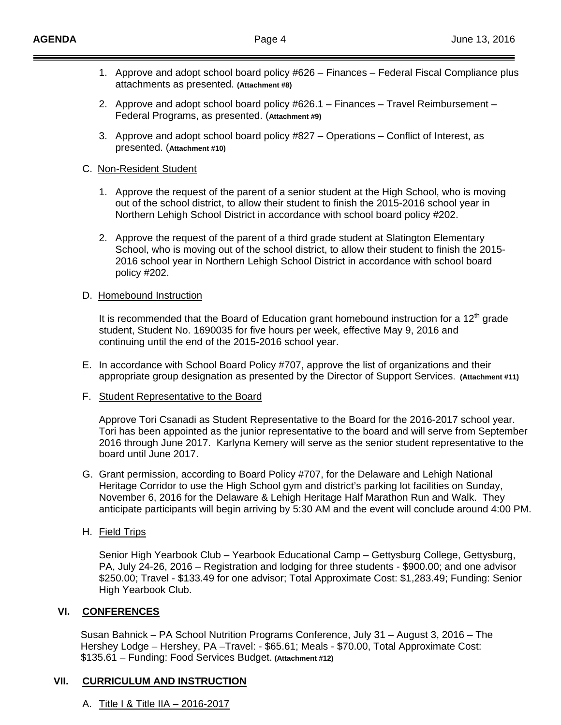- 1. Approve and adopt school board policy #626 Finances Federal Fiscal Compliance plus attachments as presented. **(Attachment #8)**
- 2. Approve and adopt school board policy #626.1 Finances Travel Reimbursement Federal Programs, as presented. (**Attachment #9)**
- 3. Approve and adopt school board policy #827 Operations Conflict of Interest, as presented. (**Attachment #10)**

### C. Non-Resident Student

- 1. Approve the request of the parent of a senior student at the High School, who is moving out of the school district, to allow their student to finish the 2015-2016 school year in Northern Lehigh School District in accordance with school board policy #202.
- 2. Approve the request of the parent of a third grade student at Slatington Elementary School, who is moving out of the school district, to allow their student to finish the 2015- 2016 school year in Northern Lehigh School District in accordance with school board policy #202.

## D. Homebound Instruction

It is recommended that the Board of Education grant homebound instruction for a  $12<sup>th</sup>$  grade student, Student No. 1690035 for five hours per week, effective May 9, 2016 and continuing until the end of the 2015-2016 school year.

- E. In accordance with School Board Policy #707, approve the list of organizations and their appropriate group designation as presented by the Director of Support Services. **(Attachment #11)**
- F. Student Representative to the Board

Approve Tori Csanadi as Student Representative to the Board for the 2016-2017 school year. Tori has been appointed as the junior representative to the board and will serve from September 2016 through June 2017. Karlyna Kemery will serve as the senior student representative to the board until June 2017.

- G. Grant permission, according to Board Policy #707, for the Delaware and Lehigh National Heritage Corridor to use the High School gym and district's parking lot facilities on Sunday, November 6, 2016 for the Delaware & Lehigh Heritage Half Marathon Run and Walk. They anticipate participants will begin arriving by 5:30 AM and the event will conclude around 4:00 PM.
- H. Field Trips

Senior High Yearbook Club – Yearbook Educational Camp – Gettysburg College, Gettysburg, PA, July 24-26, 2016 – Registration and lodging for three students - \$900.00; and one advisor \$250.00; Travel - \$133.49 for one advisor; Total Approximate Cost: \$1,283.49; Funding: Senior High Yearbook Club.

## **VI. CONFERENCES**

 Susan Bahnick – PA School Nutrition Programs Conference, July 31 – August 3, 2016 – The Hershey Lodge – Hershey, PA –Travel: - \$65.61; Meals - \$70.00, Total Approximate Cost: \$135.61 – Funding: Food Services Budget. **(Attachment #12)**

## **VII. CURRICULUM AND INSTRUCTION**

A. Title I & Title IIA – 2016-2017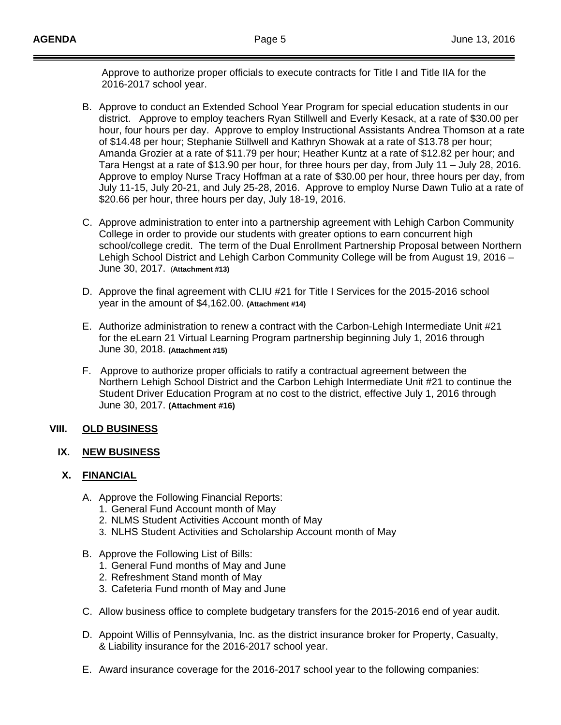Approve to authorize proper officials to execute contracts for Title I and Title IIA for the 2016-2017 school year.

- B. Approve to conduct an Extended School Year Program for special education students in our district. Approve to employ teachers Ryan Stillwell and Everly Kesack, at a rate of \$30.00 per hour, four hours per day. Approve to employ Instructional Assistants Andrea Thomson at a rate of \$14.48 per hour; Stephanie Stillwell and Kathryn Showak at a rate of \$13.78 per hour; Amanda Grozier at a rate of \$11.79 per hour; Heather Kuntz at a rate of \$12.82 per hour; and Tara Hengst at a rate of \$13.90 per hour, for three hours per day, from July 11 – July 28, 2016. Approve to employ Nurse Tracy Hoffman at a rate of \$30.00 per hour, three hours per day, from July 11-15, July 20-21, and July 25-28, 2016. Approve to employ Nurse Dawn Tulio at a rate of \$20.66 per hour, three hours per day, July 18-19, 2016.
- C. Approve administration to enter into a partnership agreement with Lehigh Carbon Community College in order to provide our students with greater options to earn concurrent high school/college credit. The term of the Dual Enrollment Partnership Proposal between Northern Lehigh School District and Lehigh Carbon Community College will be from August 19, 2016 – June 30, 2017. (**Attachment #13)**
- D. Approve the final agreement with CLIU #21 for Title I Services for the 2015-2016 school year in the amount of \$4,162.00. **(Attachment #14)**
- E. Authorize administration to renew a contract with the Carbon-Lehigh Intermediate Unit #21 for the eLearn 21 Virtual Learning Program partnership beginning July 1, 2016 through June 30, 2018. **(Attachment #15)**
- F. Approve to authorize proper officials to ratify a contractual agreement between the Northern Lehigh School District and the Carbon Lehigh Intermediate Unit #21 to continue the Student Driver Education Program at no cost to the district, effective July 1, 2016 through June 30, 2017. **(Attachment #16)**

## **VIII. OLD BUSINESS**

### **IX. NEW BUSINESS**

### **X. FINANCIAL**

- A. Approve the Following Financial Reports:
	- 1. General Fund Account month of May
	- 2. NLMS Student Activities Account month of May
	- 3. NLHS Student Activities and Scholarship Account month of May
- B. Approve the Following List of Bills:
	- 1. General Fund months of May and June
	- 2. Refreshment Stand month of May
	- 3. Cafeteria Fund month of May and June
- C. Allow business office to complete budgetary transfers for the 2015-2016 end of year audit.
- D. Appoint Willis of Pennsylvania, Inc. as the district insurance broker for Property, Casualty, & Liability insurance for the 2016-2017 school year.
- E. Award insurance coverage for the 2016-2017 school year to the following companies: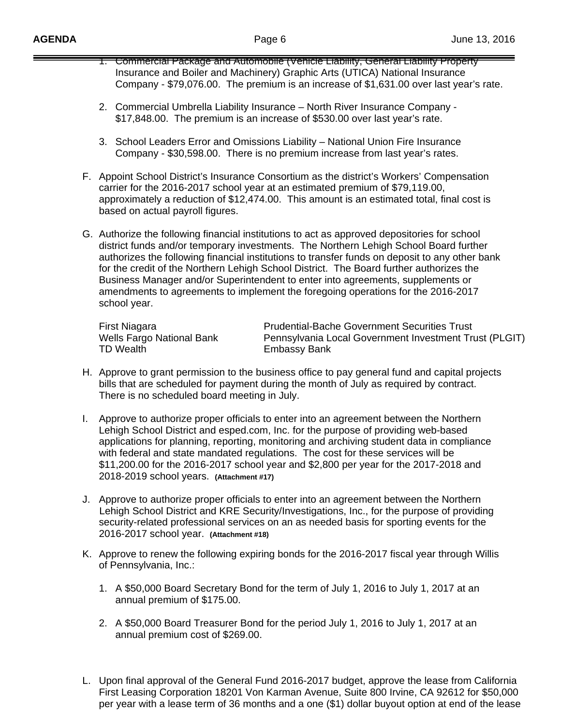- 1. Commercial Package and Automobile (Vehicle Liability, General Liability Property Insurance and Boiler and Machinery) Graphic Arts (UTICA) National Insurance Company - \$79,076.00. The premium is an increase of \$1,631.00 over last year's rate.
- 2. Commercial Umbrella Liability Insurance North River Insurance Company \$17,848.00. The premium is an increase of \$530.00 over last year's rate.
- 3. School Leaders Error and Omissions Liability National Union Fire Insurance Company - \$30,598.00. There is no premium increase from last year's rates.
- F. Appoint School District's Insurance Consortium as the district's Workers' Compensation carrier for the 2016-2017 school year at an estimated premium of \$79,119.00, approximately a reduction of \$12,474.00. This amount is an estimated total, final cost is based on actual payroll figures.
- G. Authorize the following financial institutions to act as approved depositories for school district funds and/or temporary investments. The Northern Lehigh School Board further authorizes the following financial institutions to transfer funds on deposit to any other bank for the credit of the Northern Lehigh School District. The Board further authorizes the Business Manager and/or Superintendent to enter into agreements, supplements or amendments to agreements to implement the foregoing operations for the 2016-2017 school year.

TD Wealth Embassy Bank

First Niagara **Prudential-Bache Government Securities Trust**<br>
Wells Fargo National Bank Pennsylvania Local Government Investment Tru Pennsylvania Local Government Investment Trust (PLGIT)

- H. Approve to grant permission to the business office to pay general fund and capital projects bills that are scheduled for payment during the month of July as required by contract. There is no scheduled board meeting in July.
- I. Approve to authorize proper officials to enter into an agreement between the Northern Lehigh School District and esped.com, Inc. for the purpose of providing web-based applications for planning, reporting, monitoring and archiving student data in compliance with federal and state mandated regulations. The cost for these services will be \$11,200.00 for the 2016-2017 school year and \$2,800 per year for the 2017-2018 and 2018-2019 school years. **(Attachment #17)**
- J. Approve to authorize proper officials to enter into an agreement between the Northern Lehigh School District and KRE Security/Investigations, Inc., for the purpose of providing security-related professional services on an as needed basis for sporting events for the 2016-2017 school year. **(Attachment #18)**
- K. Approve to renew the following expiring bonds for the 2016-2017 fiscal year through Willis of Pennsylvania, Inc.:
	- 1. A \$50,000 Board Secretary Bond for the term of July 1, 2016 to July 1, 2017 at an annual premium of \$175.00.
	- 2. A \$50,000 Board Treasurer Bond for the period July 1, 2016 to July 1, 2017 at an annual premium cost of \$269.00.
- L. Upon final approval of the General Fund 2016-2017 budget, approve the lease from California First Leasing Corporation 18201 Von Karman Avenue, Suite 800 Irvine, CA 92612 for \$50,000 per year with a lease term of 36 months and a one (\$1) dollar buyout option at end of the lease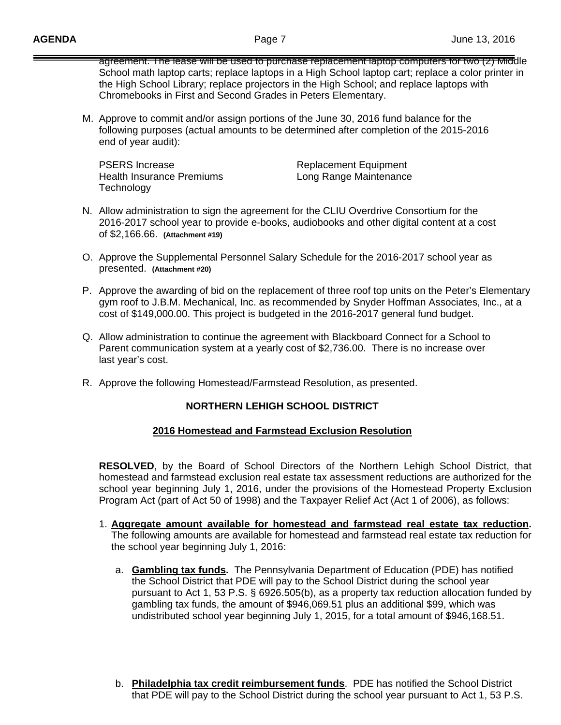agreement. The lease will be used to purchase replacement laptop computers for two (2) Middle School math laptop carts; replace laptops in a High School laptop cart; replace a color printer in the High School Library; replace projectors in the High School; and replace laptops with Chromebooks in First and Second Grades in Peters Elementary.

M. Approve to commit and/or assign portions of the June 30, 2016 fund balance for the following purposes (actual amounts to be determined after completion of the 2015-2016 end of year audit):

| <b>PSERS Increase</b>     | <b>Replacement Equipment</b> |
|---------------------------|------------------------------|
| Health Insurance Premiums | Long Range Maintenance       |
| Technology                |                              |

- N. Allow administration to sign the agreement for the CLIU Overdrive Consortium for the 2016-2017 school year to provide e-books, audiobooks and other digital content at a cost of \$2,166.66. **(Attachment #19)**
- O. Approve the Supplemental Personnel Salary Schedule for the 2016-2017 school year as presented. **(Attachment #20)**
- P. Approve the awarding of bid on the replacement of three roof top units on the Peter's Elementary gym roof to J.B.M. Mechanical, Inc. as recommended by Snyder Hoffman Associates, Inc., at a cost of \$149,000.00. This project is budgeted in the 2016-2017 general fund budget.
- Q. Allow administration to continue the agreement with Blackboard Connect for a School to Parent communication system at a yearly cost of \$2,736.00. There is no increase over last year's cost.
- R. Approve the following Homestead/Farmstead Resolution, as presented.

## **NORTHERN LEHIGH SCHOOL DISTRICT**

### **2016 Homestead and Farmstead Exclusion Resolution**

**RESOLVED**, by the Board of School Directors of the Northern Lehigh School District, that homestead and farmstead exclusion real estate tax assessment reductions are authorized for the school year beginning July 1, 2016, under the provisions of the Homestead Property Exclusion Program Act (part of Act 50 of 1998) and the Taxpayer Relief Act (Act 1 of 2006), as follows:

- 1. **Aggregate amount available for homestead and farmstead real estate tax reduction.** The following amounts are available for homestead and farmstead real estate tax reduction for the school year beginning July 1, 2016:
	- a. **Gambling tax funds.** The Pennsylvania Department of Education (PDE) has notified the School District that PDE will pay to the School District during the school year pursuant to Act 1, 53 P.S. § 6926.505(b), as a property tax reduction allocation funded by gambling tax funds, the amount of \$946,069.51 plus an additional \$99, which was undistributed school year beginning July 1, 2015, for a total amount of \$946,168.51.
	- b. **Philadelphia tax credit reimbursement funds**. PDE has notified the School District that PDE will pay to the School District during the school year pursuant to Act 1, 53 P.S.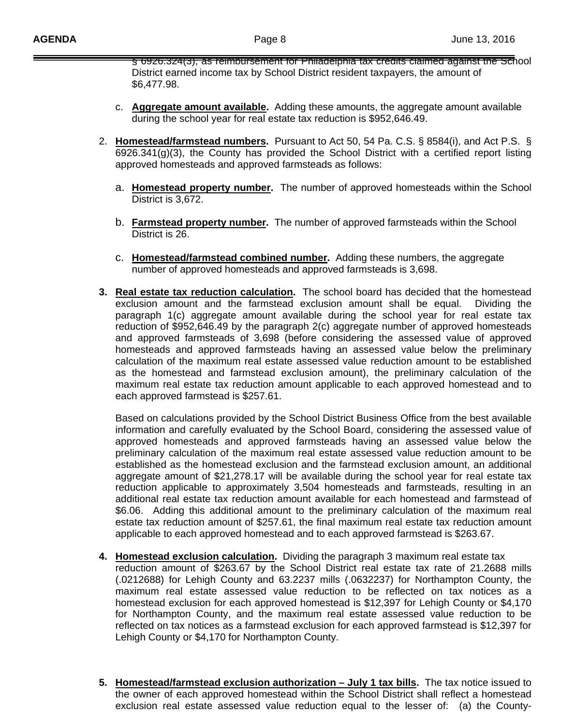§ 6926.324(3), as reimbursement for Philadelphia tax credits claimed against the School District earned income tax by School District resident taxpayers, the amount of \$6,477.98.

- c. **Aggregate amount available.** Adding these amounts, the aggregate amount available during the school year for real estate tax reduction is \$952,646.49.
- 2. **Homestead/farmstead numbers.** Pursuant to Act 50, 54 Pa. C.S. § 8584(i), and Act P.S. § 6926.341(g)(3), the County has provided the School District with a certified report listing approved homesteads and approved farmsteads as follows:
	- a. **Homestead property number.** The number of approved homesteads within the School District is 3,672.
	- b. **Farmstead property number.** The number of approved farmsteads within the School District is 26.
	- c. **Homestead/farmstead combined number.** Adding these numbers, the aggregate number of approved homesteads and approved farmsteads is 3,698.
- **3. Real estate tax reduction calculation.** The school board has decided that the homestead exclusion amount and the farmstead exclusion amount shall be equal. Dividing the paragraph 1(c) aggregate amount available during the school year for real estate tax reduction of \$952,646.49 by the paragraph 2(c) aggregate number of approved homesteads and approved farmsteads of 3,698 (before considering the assessed value of approved homesteads and approved farmsteads having an assessed value below the preliminary calculation of the maximum real estate assessed value reduction amount to be established as the homestead and farmstead exclusion amount), the preliminary calculation of the maximum real estate tax reduction amount applicable to each approved homestead and to each approved farmstead is \$257.61.

 Based on calculations provided by the School District Business Office from the best available information and carefully evaluated by the School Board, considering the assessed value of approved homesteads and approved farmsteads having an assessed value below the preliminary calculation of the maximum real estate assessed value reduction amount to be established as the homestead exclusion and the farmstead exclusion amount, an additional aggregate amount of \$21,278.17 will be available during the school year for real estate tax reduction applicable to approximately 3,504 homesteads and farmsteads, resulting in an additional real estate tax reduction amount available for each homestead and farmstead of \$6.06. Adding this additional amount to the preliminary calculation of the maximum real estate tax reduction amount of \$257.61, the final maximum real estate tax reduction amount applicable to each approved homestead and to each approved farmstead is \$263.67.

- **4. Homestead exclusion calculation.** Dividing the paragraph 3 maximum real estate tax reduction amount of \$263.67 by the School District real estate tax rate of 21.2688 mills (.0212688) for Lehigh County and 63.2237 mills (.0632237) for Northampton County, the maximum real estate assessed value reduction to be reflected on tax notices as a homestead exclusion for each approved homestead is \$12,397 for Lehigh County or \$4,170 for Northampton County, and the maximum real estate assessed value reduction to be reflected on tax notices as a farmstead exclusion for each approved farmstead is \$12,397 for Lehigh County or \$4,170 for Northampton County.
- **5. Homestead/farmstead exclusion authorization July 1 tax bills.** The tax notice issued to the owner of each approved homestead within the School District shall reflect a homestead exclusion real estate assessed value reduction equal to the lesser of: (a) the County-